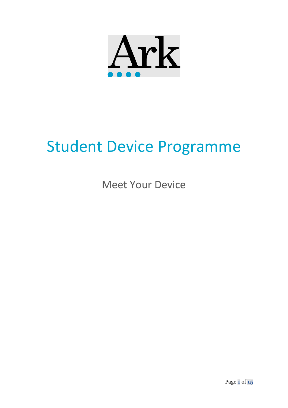

# Student Device Programme

Meet Your Device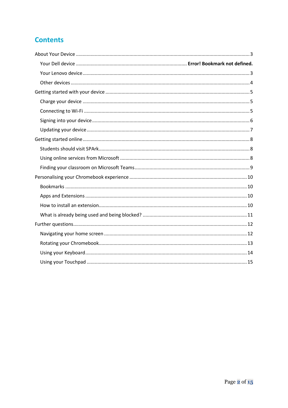# **Contents**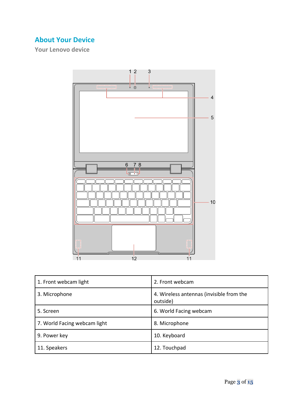# <span id="page-2-0"></span>**About Your Device**

<span id="page-2-1"></span>**Your Lenovo device**



| 1. Front webcam light        | 2. Front webcam                                      |
|------------------------------|------------------------------------------------------|
| 3. Microphone                | 4. Wireless antennas (invisible from the<br>outside) |
| 5. Screen                    | 6. World Facing webcam                               |
| 7. World Facing webcam light | 8. Microphone                                        |
| 9. Power key                 | 10. Keyboard                                         |
| 11. Speakers                 | 12. Touchpad                                         |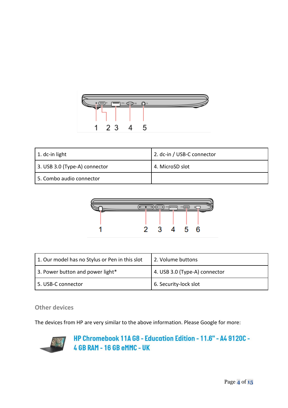

| $\vert$ 1. dc-in light        | 2. dc-in / USB-C connector |
|-------------------------------|----------------------------|
| 3. USB 3.0 (Type-A) connector | 4. MicroSD slot            |
| 5. Combo audio connector      |                            |



| 1. Our model has no Stylus or Pen in this slot | 2. Volume buttons             |
|------------------------------------------------|-------------------------------|
| 3. Power button and power light*               | 4. USB 3.0 (Type-A) connector |
| 5. USB-C connector                             | 6. Security-lock slot         |

## <span id="page-3-0"></span>**Other devices**

The devices from HP are very similar to the above information. Please Google for more:



# HP Chromebook 11A G8 - Education Edition - 11.6" - A4 9120C -4 GB RAM - 16 GB eMMC - UK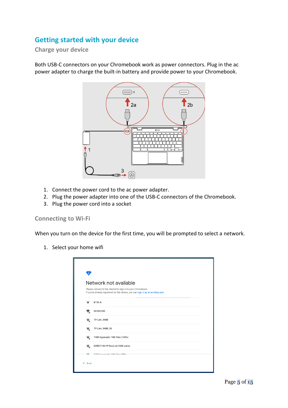## <span id="page-4-0"></span>**Getting started with your device**

<span id="page-4-1"></span>**Charge your device**

Both USB-C connectors on your Chromebook work as power connectors. Plug in the ac power adapter to charge the built-in battery and provide power to your Chromebook.



- 1. Connect the power cord to the ac power adapter.
- 2. Plug the power adapter into one of the USB-C connectors of the Chromebook.
- 3. Plug the power cord into a socket

#### <span id="page-4-2"></span>**Connecting to Wi-Fi**

When you turn on the device for the first time, you will be prompted to select a network.

1. Select your home wifi

| Ō                                |                                                                                                                                                    |
|----------------------------------|----------------------------------------------------------------------------------------------------------------------------------------------------|
|                                  | Network not available                                                                                                                              |
|                                  | Please connect to the Internet to sign in to your Chromebook.<br>If you've already registered on this device, you can sign in as an existing user. |
|                                  | BTWi-fi                                                                                                                                            |
| ₹.                               | SKYA01DD                                                                                                                                           |
| $\Psi_a$                         | TP-Link_94B8                                                                                                                                       |
| $\overline{\mathbf{v}}_\text{a}$ | TP-Link_94B8_5G                                                                                                                                    |
| $\overline{\mathbf{v}}_\text{a}$ | 14E8 Hyperoptic 1Gb Fibre 2.4Ghz                                                                                                                   |
| $\overline{\mathbf{v}}_\text{a}$ | DIRECT-48-HP DeskJet 2600 series                                                                                                                   |
|                                  | 14F0 Lhmorantia 10h Fibro EOhn                                                                                                                     |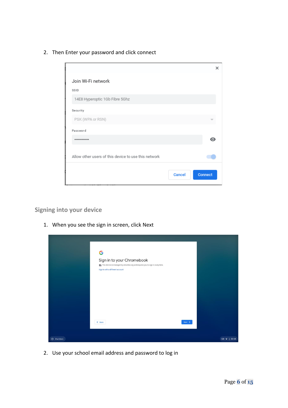2. Then Enter your password and click connect



#### <span id="page-5-0"></span>**Signing into your device**

1. When you see the sign in screen, click Next

|             | G                                                                                                                                                 |        |                    |
|-------------|---------------------------------------------------------------------------------------------------------------------------------------------------|--------|--------------------|
|             | Sign in to your Chromebook<br>This device is managed by arkonline.org and requires you to sign in every time.<br>Sign in with a different account |        |                    |
|             |                                                                                                                                                   |        |                    |
|             |                                                                                                                                                   |        |                    |
|             |                                                                                                                                                   |        |                    |
|             | $&$ Back                                                                                                                                          | Next > |                    |
| U Shut down |                                                                                                                                                   |        | GB $\bullet$ 20:54 |

2. Use your school email address and password to log in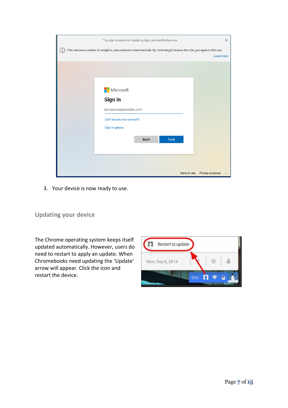| This sign-in service is hosted by login.microsoftonline.com                                                                         | $\times$                               |
|-------------------------------------------------------------------------------------------------------------------------------------|----------------------------------------|
| This site uses cookies for analytics, personalised content and ads. By continuing to browse this site, you agree to this use.<br>÷. |                                        |
|                                                                                                                                     | Learn more                             |
|                                                                                                                                     |                                        |
|                                                                                                                                     |                                        |
|                                                                                                                                     |                                        |
| Microsoft                                                                                                                           |                                        |
| Sign in                                                                                                                             |                                        |
| someone@example.com                                                                                                                 |                                        |
| Can't access your account?                                                                                                          |                                        |
| Sign-in options                                                                                                                     |                                        |
|                                                                                                                                     |                                        |
| <b>Back</b>                                                                                                                         | Next                                   |
|                                                                                                                                     |                                        |
|                                                                                                                                     |                                        |
|                                                                                                                                     |                                        |
|                                                                                                                                     | Terms of use<br>Privacy & cookies<br>. |

3. Your device is now ready to use.

### <span id="page-6-0"></span>**Updating your device**

The Chrome operating system keeps itself updated automatically. However, users do need to restart to apply an update. When Chromebooks need updating the 'Update' arrow will appear. Click the icon and restart the device.

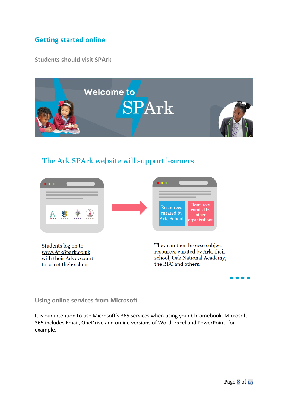## <span id="page-7-0"></span>**Getting started online**

<span id="page-7-1"></span>**Students should visit SPArk**



# The Ark SPArk website will support learners



Students log on to www.ArkSpark.co.uk with their Ark account to select their school

They can then browse subject resources curated by Ark, their school, Oak National Academy, the BBC and others.

#### <span id="page-7-2"></span>**Using online services from Microsoft**

It is our intention to use Microsoft's 365 services when using your Chromebook. Microsoft 365 includes Email, OneDrive and online versions of Word, Excel and PowerPoint, for example.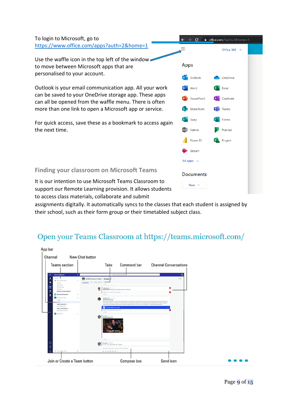To login to Microsoft, go to <https://www.office.com/apps?auth=2&home=1>

Use the waffle icon in the top left of the window to move between Microsoft apps that are personalised to your account.

Outlook is your email communication app. All your work can be saved to your OneDrive storage app. These apps can all be opened from the waffle menu. There is often more than one link to open a Microsoft app or service.

For quick access, save these as a bookmark to access again the next time.

|                              |          | $\leftarrow$ $\rightarrow$ C $\bullet$ office.com/?auth=2&home=1 |  |
|------------------------------|----------|------------------------------------------------------------------|--|
|                              |          | Office 365 $\rightarrow$                                         |  |
| Apps                         |          |                                                                  |  |
| O Outlook                    |          | <b>Configuration</b>                                             |  |
| W Word                       |          | <b>X</b> Excel                                                   |  |
| <b>P</b> PowerPoint          |          | N OneNote                                                        |  |
| S SharePoint                 |          | <b>Til</b> Teams                                                 |  |
| S Sway                       | F.       | Forms                                                            |  |
| A <sup>2</sup> Admin         |          | <b>Planner</b>                                                   |  |
|                              | Power BI | <b>PL</b> Project                                                |  |
| $\blacktriangleright$ Stream |          |                                                                  |  |
| All apps $\rightarrow$       |          |                                                                  |  |
| <b>Documents</b>             |          |                                                                  |  |
| New \                        |          |                                                                  |  |

<span id="page-8-0"></span>**Finding your classroom on Microsoft Teams**

It is our intention to use Microsoft Teams Classroom to support our Remote Learning provision. It allows students to access class materials, collaborate and submit

assignments digitally. It automatically syncs to the classes that each student is assigned by their school, such as their form group or their timetabled subject class.

# Open your Teams Classroom at https://teams.microsoft.com/

| <b>Teams section</b>                              |            | Command bar<br>Tabs                                                                                                                                                                                                                                                              | <b>Channel Conversations</b> |
|---------------------------------------------------|------------|----------------------------------------------------------------------------------------------------------------------------------------------------------------------------------------------------------------------------------------------------------------------------------|------------------------------|
|                                                   |            |                                                                                                                                                                                                                                                                                  |                              |
| <b>Nicrosoft Teams</b>                            |            | <b>Search at have a command.</b>                                                                                                                                                                                                                                                 | G,                           |
| Faransa.<br>Mr. Mark Engel Team                   |            | X1050 Launch Team > Design * -                                                                                                                                                                                                                                                   | <b>Nation</b>                |
| Detecat<br>Engineering                            |            | Convenience: POIs Lisbolity Province<br>ar Fade                                                                                                                                                                                                                                  |                              |
| Manufacturing<br>Marking                          |            | <b>Praders Starte: 1017 10101</b><br>Megan Bowen, have post-recovered the sendor contract pet?                                                                                                                                                                                   |                              |
| <b>Research and Eurobapment</b>                   |            | I rails has pos laterra files and basis                                                                                                                                                                                                                                          |                              |
| <b>Business Development</b><br>anticuous has      | <b>ALC</b> | ar fany                                                                                                                                                                                                                                                                          |                              |
| Earnest                                           |            | Ahoustone (1771)<br>Usability Testing<br>Hells, water finalisation find round of usability leating on the ETDS: bi-general, things went very well. There are a fire source to averagine in                                                                                       |                              |
| Despt<br><b>Bigital Assets Web</b>                |            | the rest fan nasks prior to launch. But the dick team is moving forward rapidly. Our user rasting has also identifiant some really compating<br>copie/Seriols for additional flasters) that may be included phe ray-lot, You can find more detect in the attached ascumentation. |                              |
| Co is Maket Pan.<br>Legal and Compliance          |            | 2 XT1050 Enables here 2.5 days<br>I walke Stee you doe, Miram, and I offere                                                                                                                                                                                                      |                              |
| Auto and Social Translat<br><b>College Profit</b> | $\sim$     | ar facy                                                                                                                                                                                                                                                                          |                              |
|                                                   |            | <b>Assisted</b> SSTOAM<br>G<br><b>Crest teamwork</b><br>Great job guys                                                                                                                                                                                                           |                              |
|                                                   |            | and Parcha                                                                                                                                                                                                                                                                       |                              |
|                                                   |            | <b>Assistant</b> AD FIRANT<br>und Large, way to go on the modupo!                                                                                                                                                                                                                |                              |
|                                                   |            | Start a next conversation. Type @ to member complete.                                                                                                                                                                                                                            |                              |
| If his proper a learn                             | G.         | $600000 -$                                                                                                                                                                                                                                                                       |                              |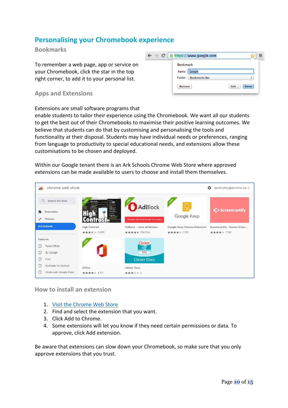## <span id="page-9-0"></span>**Personalising your Chromebook experience**

#### <span id="page-9-1"></span>**Bookmarks**

To remember a web page, app or service on your Chromebook, click the star in the top right corner, to add it to your personal list.

#### <span id="page-9-2"></span>**Apps and Extensions**

#### Extensions are small software programs that

enable students to tailor their experience using the Chromebook. We want all our students to get the best out of their Chromebooks to maximise their positive learning outcomes. We believe that students can do that by customising and personalising the tools and functionality at their disposal. Students may have individual needs or preferences, ranging from language to productivity to special educational needs, and extensions allow these customisations to be chosen and deployed.

Within our Google tenant there is an Ark Schools Chrome Web Store where approved extensions can be made available to users to choose and install them themselves.



#### <span id="page-9-3"></span>**How to install an extension**

- 1. [Visit the Chrome Web Store](https://chrome.google.com/webstore)
- 2. Find and select the extension that you want.
- 3. Click Add to Chrome.
- 4. Some extensions will let you know if they need certain permissions or data. To approve, click Add extension.

Be aware that extensions can slow down your Chromebook, so make sure that you only approve extensions that you trust.

| $\leftarrow$ $\rightarrow$ C   A https://www.google.com |              |
|---------------------------------------------------------|--------------|
| <b>Bookmark</b>                                         |              |
| Name: Google                                            |              |
| Folder: Bookmarks Bar                                   | ÷            |
| Remove                                                  | Edit<br>Done |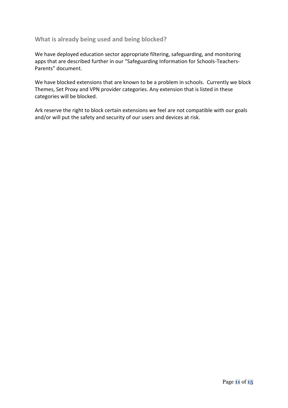#### <span id="page-10-0"></span>**What is already being used and being blocked?**

We have deployed education sector appropriate filtering, safeguarding, and monitoring apps that are described further in our "Safeguarding Information for Schools-Teachers-Parents" document.

We have blocked extensions that are known to be a problem in schools. Currently we block Themes, Set Proxy and VPN provider categories. Any extension that is listed in these categories will be blocked.

Ark reserve the right to block certain extensions we feel are not compatible with our goals and/or will put the safety and security of our users and devices at risk.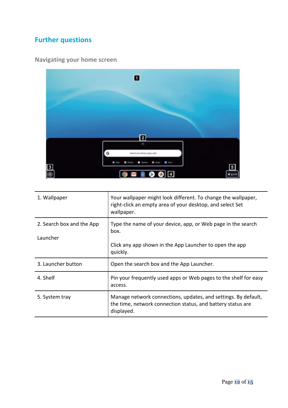# <span id="page-11-0"></span>**Further questions**

# <span id="page-11-1"></span>**Navigating your home screen**



| 1. Wallpaper              | Your wallpaper might look different. To change the wallpaper,<br>right-click an empty area of your desktop, and select Set<br>wallpaper.    |
|---------------------------|---------------------------------------------------------------------------------------------------------------------------------------------|
| 2. Search box and the App | Type the name of your device, app, or Web page in the search<br>box.                                                                        |
| Launcher                  |                                                                                                                                             |
|                           | Click any app shown in the App Launcher to open the app<br>quickly.                                                                         |
| 3. Launcher button        | Open the search box and the App Launcher.                                                                                                   |
| 4. Shelf                  | Pin your frequently used apps or Web pages to the shelf for easy<br>access.                                                                 |
| 5. System tray            | Manage network connections, updates, and settings. By default,<br>the time, network connection status, and battery status are<br>displayed. |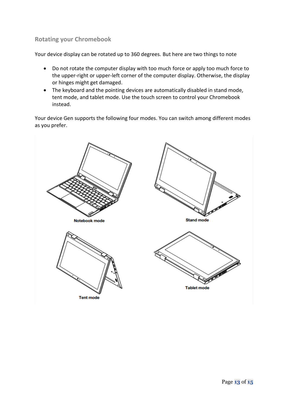#### <span id="page-12-0"></span>**Rotating your Chromebook**

Your device display can be rotated up to 360 degrees. But here are two things to note

- Do not rotate the computer display with too much force or apply too much force to the upper-right or upper-left corner of the computer display. Otherwise, the display or hinges might get damaged.
- The keyboard and the pointing devices are automatically disabled in stand mode, tent mode, and tablet mode. Use the touch screen to control your Chromebook instead.

Your device Gen supports the following four modes. You can switch among different modes as you prefer.

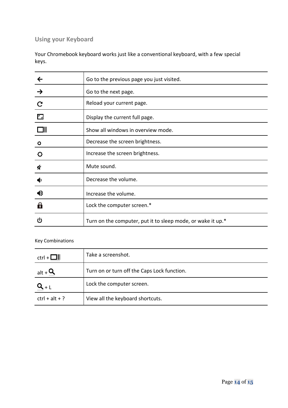# <span id="page-13-0"></span>**Using your Keyboard**

Your Chromebook keyboard works just like a conventional keyboard, with a few special keys.

|                           | Go to the previous page you just visited.                   |
|---------------------------|-------------------------------------------------------------|
| $\rightarrow$             | Go to the next page.                                        |
| $\mathbf C$               | Reload your current page.                                   |
| $\mathbf{r}_{\mathbf{z}}$ | Display the current full page.                              |
|                           | Show all windows in overview mode.                          |
| ۰                         | Decrease the screen brightness.                             |
| ۰                         | Increase the screen brightness.                             |
| U                         | Mute sound.                                                 |
|                           | Decrease the volume.                                        |
| $\blacklozenge$           | Increase the volume.                                        |
| $\mathbf{a}$              | Lock the computer screen.*                                  |
| را)                       | Turn on the computer, put it to sleep mode, or wake it up.* |

#### Key Combinations

| $ctrl + \Box   $   | Take a screenshot.                          |
|--------------------|---------------------------------------------|
| alt + $\mathbf{u}$ | Turn on or turn off the Caps Lock function. |
|                    | Lock the computer screen.                   |
| $ctrl + alt + ?$   | View all the keyboard shortcuts.            |